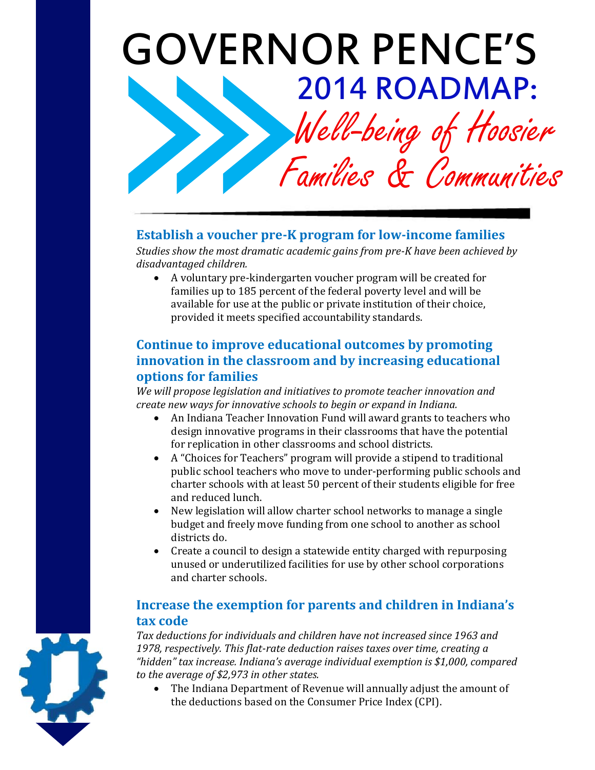# GOVERNOR PENCE'S 2014 ROADMAP:

Well-being of Hoosier

Families & Communities

# **Establish a voucher pre-K program for low-income families**

*Studies show the most dramatic academic gains from pre-K have been achieved by disadvantaged children.* 

 A voluntary pre-kindergarten voucher program will be created for families up to 185 percent of the federal poverty level and will be available for use at the public or private institution of their choice, provided it meets specified accountability standards.

### **Continue to improve educational outcomes by promoting innovation in the classroom and by increasing educational options for families**

*We will propose legislation and initiatives to promote teacher innovation and create new ways for innovative schools to begin or expand in Indiana.* 

- An Indiana Teacher Innovation Fund will award grants to teachers who design innovative programs in their classrooms that have the potential for replication in other classrooms and school districts.
- A "Choices for Teachers" program will provide a stipend to traditional public school teachers who move to under-performing public schools and charter schools with at least 50 percent of their students eligible for free and reduced lunch.
- New legislation will allow charter school networks to manage a single budget and freely move funding from one school to another as school districts do.
- Create a council to design a statewide entity charged with repurposing unused or underutilized facilities for use by other school corporations and charter schools.

### **Increase the exemption for parents and children in Indiana's tax code**

*Tax deductions for individuals and children have not increased since 1963 and 1978, respectively. This flat-rate deduction raises taxes over time, creating a "hidden" tax increase. Indiana's average individual exemption is \$1,000, compared to the average of \$2,973 in other states.* 

 The Indiana Department of Revenue will annually adjust the amount of the deductions based on the Consumer Price Index (CPI).